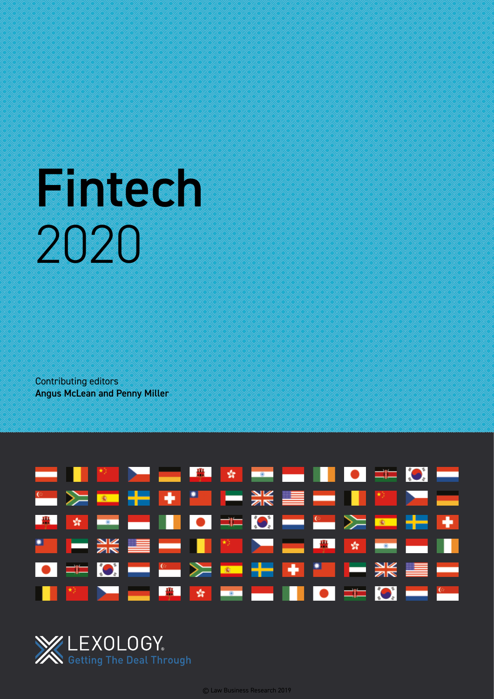# Fintech 2020

Contributing editors Angus McLean and Penny Miller



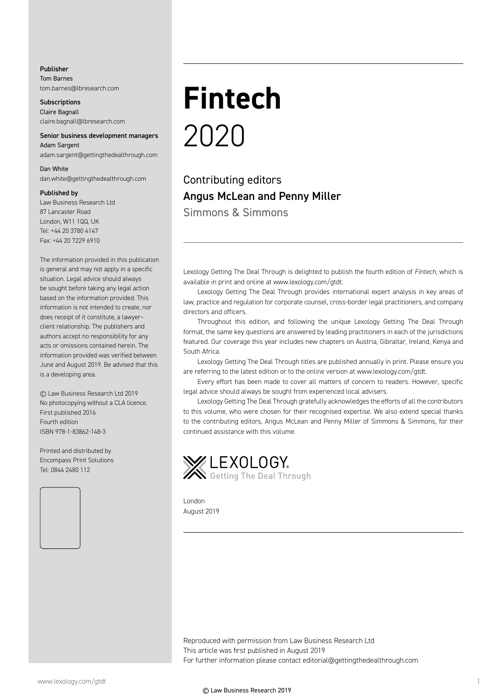#### Publisher

Tom Barnes tom.barnes@lbresearch.com

**Subscriptions** Claire Bagnall claire.bagnall@lbresearch.com

#### Senior business development managers Adam Sargent

adam.sargent@gettingthedealthrough.com

# Dan White

dan.white@gettingthedealthrough.com

#### Published by

Law Business Research Ltd 87 Lancaster Road London, W11 1QQ, UK Tel: +44 20 3780 4147 Fax: +44 20 7229 6910

The information provided in this publication is general and may not apply in a specific situation. Legal advice should always be sought before taking any legal action based on the information provided. This information is not intended to create, nor does receipt of it constitute, a lawyer– client relationship. The publishers and authors accept no responsibility for any acts or omissions contained herein. The information provided was verified between June and August 2019. Be advised that this is a developing area.

© Law Business Research Ltd 2019 No photocopying without a CLA licence. First published 2016 Fourth edition ISBN 978-1-83862-148-3

Printed and distributed by Encompass Print Solutions Tel: 0844 2480 112



# **Fintech** 2020

Contributing editors Angus McLean and Penny Miller Simmons & Simmons

Lexology Getting The Deal Through is delighted to publish the fourth edition of *Fintech*, which is available in print and online at www.lexology.com/gtdt.

Lexology Getting The Deal Through provides international expert analysis in key areas of law, practice and regulation for corporate counsel, cross-border legal practitioners, and company directors and officers.

Throughout this edition, and following the unique Lexology Getting The Deal Through format, the same key questions are answered by leading practitioners in each of the jurisdictions featured. Our coverage this year includes new chapters on Austria, Gibraltar, Ireland, Kenya and South Africa.

Lexology Getting The Deal Through titles are published annually in print. Please ensure you are referring to the latest edition or to the online version at www.lexology.com/gtdt.

Every effort has been made to cover all matters of concern to readers. However, specific legal advice should always be sought from experienced local advisers.

Lexology Getting The Deal Through gratefully acknowledges the efforts of all the contributors to this volume, who were chosen for their recognised expertise. We also extend special thanks to the contributing editors, Angus McLean and Penny Miller of Simmons & Simmons, for their continued assistance with this volume.



London August 2019

Reproduced with permission from Law Business Research Ltd This article was first published in August 2019 For further information please contact editorial@gettingthedealthrough.com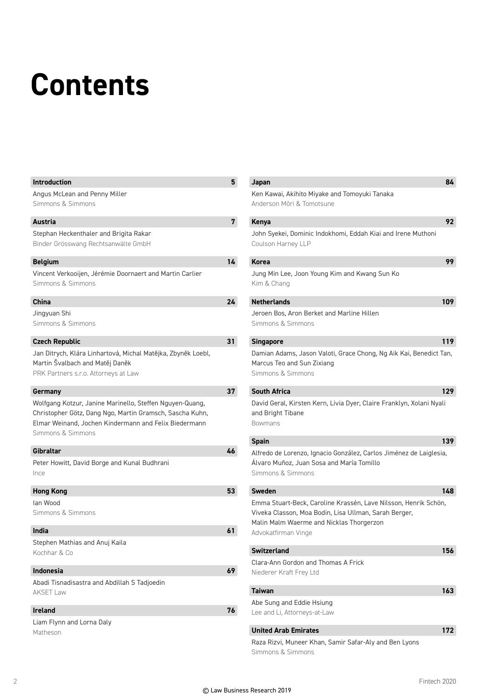# **Contents**

| <b>Introduction</b>                                                                                                                                                                                | 5  |
|----------------------------------------------------------------------------------------------------------------------------------------------------------------------------------------------------|----|
| Angus McLean and Penny Miller                                                                                                                                                                      |    |
| Simmons & Simmons                                                                                                                                                                                  |    |
| <b>Austria</b>                                                                                                                                                                                     | 7  |
| Stephan Heckenthaler and Brigita Rakar                                                                                                                                                             |    |
| Binder Grösswang Rechtsanwälte GmbH                                                                                                                                                                |    |
| <b>Belgium</b>                                                                                                                                                                                     | 14 |
| Vincent Verkooijen, Jérémie Doornaert and Martin Carlier<br>Simmons & Simmons                                                                                                                      |    |
| <b>China</b>                                                                                                                                                                                       | 24 |
| Jingyuan Shi<br>Simmons & Simmons                                                                                                                                                                  |    |
| <b>Czech Republic</b>                                                                                                                                                                              | 31 |
| Jan Ditrych, Klára Linhartová, Michal Matějka, Zbyněk Loebl,<br>Martin Švalbach and Matěj Daněk<br>PRK Partners s.r.o. Attorneys at Law                                                            |    |
| Germany                                                                                                                                                                                            | 37 |
| Wolfgang Kotzur, Janine Marinello, Steffen Nguyen-Quang,<br>Christopher Götz, Dang Ngo, Martin Gramsch, Sascha Kuhn,<br>Elmar Weinand, Jochen Kindermann and Felix Biedermann<br>Simmons & Simmons |    |
| Gibraltar                                                                                                                                                                                          | 46 |
| Peter Howitt, David Borge and Kunal Budhrani<br>Ince                                                                                                                                               |    |
| <b>Hong Kong</b>                                                                                                                                                                                   | 53 |
| lan Wood<br>Simmons & Simmons                                                                                                                                                                      |    |
| India                                                                                                                                                                                              | 61 |
| Stephen Mathias and Anuj Kaila<br>Kochhar & Co                                                                                                                                                     |    |
| Indonesia                                                                                                                                                                                          | 69 |
| Abadi Tisnadisastra and Abdillah S Tadjoedin<br><b>AKSET Law</b>                                                                                                                                   |    |
| <b>Ireland</b>                                                                                                                                                                                     | 76 |
| Liam Flynn and Lorna Daly<br>Matheson                                                                                                                                                              |    |

| Japan                                                                                                                                                                                       | 84  |
|---------------------------------------------------------------------------------------------------------------------------------------------------------------------------------------------|-----|
| Ken Kawai, Akihito Miyake and Tomoyuki Tanaka<br>Anderson Mōri & Tomotsune                                                                                                                  |     |
| Kenya                                                                                                                                                                                       | 92  |
| John Syekei, Dominic Indokhomi, Eddah Kiai and Irene Muthoni<br>Coulson Harney LLP                                                                                                          |     |
| <b>Korea</b>                                                                                                                                                                                | 99  |
| Jung Min Lee, Joon Young Kim and Kwang Sun Ko<br>Kim & Chang                                                                                                                                |     |
| <b>Netherlands</b>                                                                                                                                                                          | 109 |
| Jeroen Bos, Aron Berket and Marline Hillen<br>Simmons & Simmons                                                                                                                             |     |
| <b>Singapore</b>                                                                                                                                                                            | 119 |
| Damian Adams, Jason Valoti, Grace Chong, Ng Aik Kai, Benedict Tan,<br>Marcus Teo and Sun Zixiang<br>Simmons & Simmons                                                                       |     |
| <b>South Africa</b>                                                                                                                                                                         | 129 |
| David Geral, Kirsten Kern, Livia Dyer, Claire Franklyn, Xolani Nyali<br>and Bright Tibane<br><b>Bowmans</b>                                                                                 |     |
| <b>Spain</b>                                                                                                                                                                                | 139 |
| Alfredo de Lorenzo, Ignacio González, Carlos Jiménez de Laiglesia,<br>Alvaro Muñoz, Juan Sosa and María Tomillo<br>Simmons & Simmons                                                        |     |
| <b>Sweden</b>                                                                                                                                                                               | 148 |
| Emma Stuart-Beck, Caroline Krassén, Lave Nilsson, Henrik Schön,<br>Viveka Classon, Moa Bodin, Lisa Ullman, Sarah Berger,<br>Malin Malm Waerme and Nicklas Thorgerzon<br>Advokatfirman Vinge |     |
| Switzerland                                                                                                                                                                                 | 156 |
| Clara-Ann Gordon and Thomas A Frick<br>Niederer Kraft Frey Ltd                                                                                                                              |     |
| <b>Taiwan</b>                                                                                                                                                                               | 163 |
| Abe Sung and Eddie Hsiung<br>Lee and Li, Attorneys-at-Law                                                                                                                                   |     |
| <b>United Arab Emirates</b>                                                                                                                                                                 | 172 |
| Raza Rizvi, Muneer Khan, Samir Safar-Aly and Ben Lyons<br>Simmons & Simmons                                                                                                                 |     |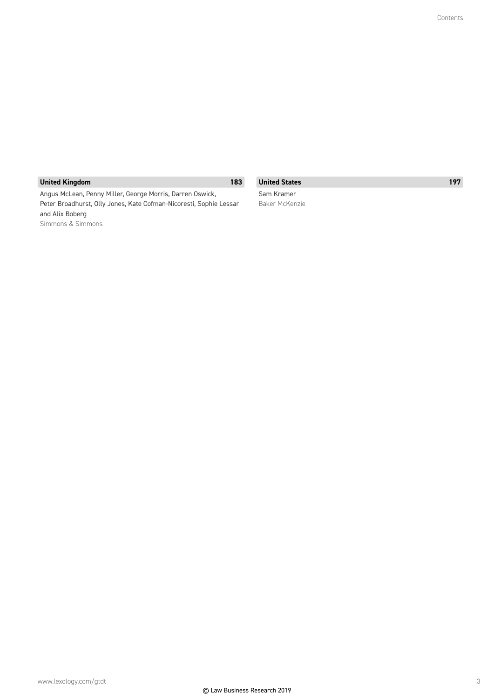# **United Kingdom 183**

Angus McLean, Penny Miller, George Morris, Darren Oswick, Peter Broadhurst, Olly Jones, Kate Cofman-Nicoresti, Sophie Lessar and Alix Boberg Simmons & Simmons

**United States 197** Sam Kramer

Baker McKenzie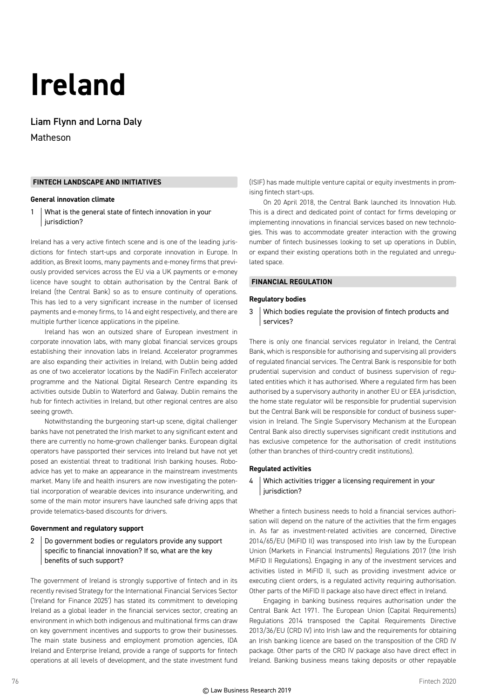# **Ireland**

Liam Flynn and Lorna Daly Matheson

#### **FINTECH LANDSCAPE AND INITIATIVES**

#### **General innovation climate**

1 What is the general state of fintech innovation in your jurisdiction?

Ireland has a very active fintech scene and is one of the leading jurisdictions for fintech start-ups and corporate innovation in Europe. In addition, as Brexit looms, many payments and e-money firms that previously provided services across the EU via a UK payments or e-money licence have sought to obtain authorisation by the Central Bank of Ireland (the Central Bank) so as to ensure continuity of operations. This has led to a very significant increase in the number of licensed payments and e-money firms, to 14 and eight respectively, and there are multiple further licence applications in the pipeline.

Ireland has won an outsized share of European investment in corporate innovation labs, with many global financial services groups establishing their innovation labs in Ireland. Accelerator programmes are also expanding their activities in Ireland, with Dublin being added as one of two accelerator locations by the NadiFin FinTech accelerator programme and the National Digital Research Centre expanding its activities outside Dublin to Waterford and Galway. Dublin remains the hub for fintech activities in Ireland, but other regional centres are also seeing growth.

Notwithstanding the burgeoning start-up scene, digital challenger banks have not penetrated the Irish market to any significant extent and there are currently no home-grown challenger banks. European digital operators have passported their services into Ireland but have not yet posed an existential threat to traditional Irish banking houses. Roboadvice has yet to make an appearance in the mainstream investments market. Many life and health insurers are now investigating the potential incorporation of wearable devices into insurance underwriting, and some of the main motor insurers have launched safe driving apps that provide telematics-based discounts for drivers.

#### **Government and regulatory support**

#### 2 Do government bodies or regulators provide any support specific to financial innovation? If so, what are the key benefits of such support?

The government of Ireland is strongly supportive of fintech and in its recently revised Strategy for the International Financial Services Sector ('Ireland for Finance 2025') has stated its commitment to developing Ireland as a global leader in the financial services sector, creating an environment in which both indigenous and multinational firms can draw on key government incentives and supports to grow their businesses. The main state business and employment promotion agencies, IDA Ireland and Enterprise Ireland, provide a range of supports for fintech operations at all levels of development, and the state investment fund (ISIF) has made multiple venture capital or equity investments in promising fintech start-ups.

On 20 April 2018, the Central Bank launched its Innovation Hub. This is a direct and dedicated point of contact for firms developing or implementing innovations in financial services based on new technologies. This was to accommodate greater interaction with the growing number of fintech businesses looking to set up operations in Dublin, or expand their existing operations both in the regulated and unregulated space.

#### **FINANCIAL REGULATION**

#### **Regulatory bodies**

3 Which bodies regulate the provision of fintech products and services?

There is only one financial services regulator in Ireland, the Central Bank, which is responsible for authorising and supervising all providers of regulated financial services. The Central Bank is responsible for both prudential supervision and conduct of business supervision of regulated entities which it has authorised. Where a regulated firm has been authorised by a supervisory authority in another EU or EEA jurisdiction, the home state regulator will be responsible for prudential supervision but the Central Bank will be responsible for conduct of business supervision in Ireland. The Single Supervisory Mechanism at the European Central Bank also directly supervises significant credit institutions and has exclusive competence for the authorisation of credit institutions (other than branches of third-country credit institutions).

#### **Regulated activities**

#### 4 Which activities trigger a licensing requirement in your jurisdiction?

Whether a fintech business needs to hold a financial services authorisation will depend on the nature of the activities that the firm engages in. As far as investment-related activities are concerned, Directive 2014/65/EU (MiFID II) was transposed into Irish law by the European Union (Markets in Financial Instruments) Regulations 2017 (the Irish MiFID II Regulations). Engaging in any of the investment services and activities listed in MiFID II, such as providing investment advice or executing client orders, is a regulated activity requiring authorisation. Other parts of the MiFID II package also have direct effect in Ireland.

Engaging in banking business requires authorisation under the Central Bank Act 1971. The European Union (Capital Requirements) Regulations 2014 transposed the Capital Requirements Directive 2013/36/EU (CRD IV) into Irish law and the requirements for obtaining an Irish banking licence are based on the transposition of the CRD IV package. Other parts of the CRD IV package also have direct effect in Ireland. Banking business means taking deposits or other repayable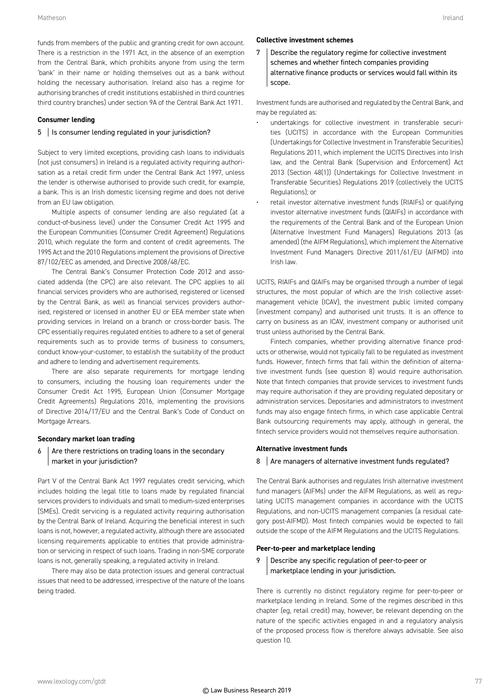funds from members of the public and granting credit for own account. There is a restriction in the 1971 Act, in the absence of an exemption from the Central Bank, which prohibits anyone from using the term 'bank' in their name or holding themselves out as a bank without holding the necessary authorisation. Ireland also has a regime for authorising branches of credit institutions established in third countries third country branches) under section 9A of the Central Bank Act 1971.

#### **Consumer lending**

# 5 | Is consumer lending regulated in your jurisdiction?

Subject to very limited exceptions, providing cash loans to individuals (not just consumers) in Ireland is a regulated activity requiring authorisation as a retail credit firm under the Central Bank Act 1997, unless the lender is otherwise authorised to provide such credit, for example, a bank. This is an Irish domestic licensing regime and does not derive from an EU law obligation.

Multiple aspects of consumer lending are also regulated (at a conduct-of-business level) under the Consumer Credit Act 1995 and the European Communities (Consumer Credit Agreement) Regulations 2010, which regulate the form and content of credit agreements. The 1995 Act and the 2010 Regulations implement the provisions of Directive 87/102/EEC as amended, and Directive 2008/48/EC.

The Central Bank's Consumer Protection Code 2012 and associated addenda (the CPC) are also relevant. The CPC applies to all financial services providers who are authorised, registered or licensed by the Central Bank, as well as financial services providers authorised, registered or licensed in another EU or EEA member state when providing services in Ireland on a branch or cross-border basis. The CPC essentially requires regulated entities to adhere to a set of general requirements such as to provide terms of business to consumers, conduct know-your-customer, to establish the suitability of the product and adhere to lending and advertisement requirements.

There are also separate requirements for mortgage lending to consumers, including the housing loan requirements under the Consumer Credit Act 1995, European Union (Consumer Mortgage Credit Agreements) Regulations 2016, implementing the provisions of Directive 2014/17/EU and the Central Bank's Code of Conduct on Mortgage Arrears.

# **Secondary market loan trading**

#### $6$  Are there restrictions on trading loans in the secondary market in your jurisdiction?

Part V of the Central Bank Act 1997 regulates credit servicing, which includes holding the legal title to loans made by regulated financial services providers to individuals and small to medium-sized enterprises (SMEs). Credit servicing is a regulated activity requiring authorisation by the Central Bank of Ireland. Acquiring the beneficial interest in such loans is not, however, a regulated activity, although there are associated licensing requirements applicable to entities that provide administration or servicing in respect of such loans. Trading in non-SME corporate loans is not, generally speaking, a regulated activity in Ireland.

There may also be data protection issues and general contractual issues that need to be addressed, irrespective of the nature of the loans being traded.

# **Collective investment schemes**

7 Describe the regulatory regime for collective investment schemes and whether fintech companies providing alternative finance products or services would fall within its scope.

Investment funds are authorised and regulated by the Central Bank, and may be regulated as:

- undertakings for collective investment in transferable securities (UCITS) in accordance with the European Communities (Undertakings for Collective Investment in Transferable Securities) Regulations 2011, which implement the UCITS Directives into Irish law, and the Central Bank (Supervision and Enforcement) Act 2013 (Section 48(1)) (Undertakings for Collective Investment in Transferable Securities) Regulations 2019 (collectively the UCITS Regulations); or
- retail investor alternative investment funds (RIAIFs) or qualifying investor alternative investment funds (QIAIFs) in accordance with the requirements of the Central Bank and of the European Union (Alternative Investment Fund Managers) Regulations 2013 (as amended) (the AIFM Regulations), which implement the Alternative Investment Fund Managers Directive 2011/61/EU (AIFMD) into Irish law.

UCITS, RIAIFs and QIAIFs may be organised through a number of legal structures, the most popular of which are the Irish collective assetmanagement vehicle (ICAV), the investment public limited company (investment company) and authorised unit trusts. It is an offence to carry on business as an ICAV, investment company or authorised unit trust unless authorised by the Central Bank.

Fintech companies, whether providing alternative finance products or otherwise, would not typically fall to be regulated as investment funds. However, fintech firms that fall within the definition of alternative investment funds (see question 8) would require authorisation. Note that fintech companies that provide services to investment funds may require authorisation if they are providing regulated depositary or administration services. Depositaries and administrators to investment funds may also engage fintech firms, in which case applicable Central Bank outsourcing requirements may apply, although in general, the fintech service providers would not themselves require authorisation.

# **Alternative investment funds**

# 8 Are managers of alternative investment funds regulated?

The Central Bank authorises and regulates Irish alternative investment fund managers (AIFMs) under the AIFM Regulations, as well as regulating UCITS management companies in accordance with the UCITS Regulations, and non-UCITS management companies (a residual category post-AIFMD). Most fintech companies would be expected to fall outside the scope of the AIFM Regulations and the UCITS Regulations.

# **Peer-to-peer and marketplace lending**

# 9 Describe any specific regulation of peer-to-peer or marketplace lending in your jurisdiction.

There is currently no distinct regulatory regime for peer-to-peer or marketplace lending in Ireland. Some of the regimes described in this chapter (eg, retail credit) may, however, be relevant depending on the nature of the specific activities engaged in and a regulatory analysis of the proposed process flow is therefore always advisable. See also question 10.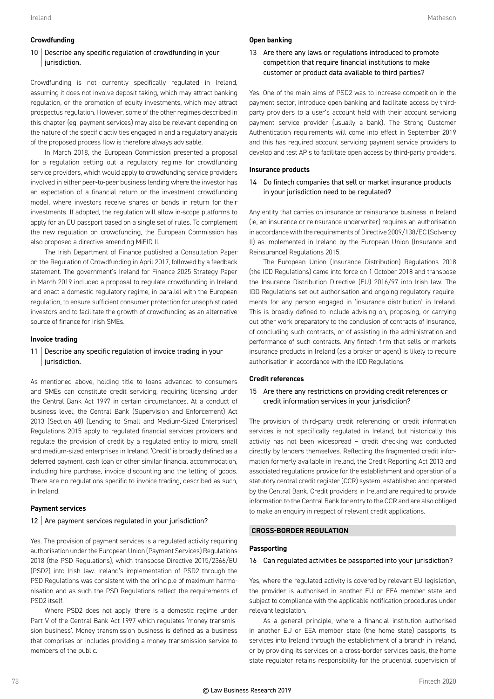#### **Crowdfunding**

# 10 | Describe any specific regulation of crowdfunding in your jurisdiction.

Crowdfunding is not currently specifically regulated in Ireland, assuming it does not involve deposit-taking, which may attract banking regulation, or the promotion of equity investments, which may attract prospectus regulation. However, some of the other regimes described in this chapter (eg, payment services) may also be relevant depending on the nature of the specific activities engaged in and a regulatory analysis of the proposed process flow is therefore always advisable.

In March 2018, the European Commission presented a proposal for a regulation setting out a regulatory regime for crowdfunding service providers, which would apply to crowdfunding service providers involved in either peer-to-peer business lending where the investor has an expectation of a financial return or the investment crowdfunding model, where investors receive shares or bonds in return for their investments. If adopted, the regulation will allow in-scope platforms to apply for an EU passport based on a single set of rules. To complement the new regulation on crowdfunding, the European Commission has also proposed a directive amending MiFID II.

The Irish Department of Finance published a Consultation Paper on the Regulation of Crowdfunding in April 2017, followed by a feedback statement. The government's Ireland for Finance 2025 Strategy Paper in March 2019 included a proposal to regulate crowdfunding in Ireland and enact a domestic regulatory regime, in parallel with the European regulation, to ensure sufficient consumer protection for unsophisticated investors and to facilitate the growth of crowdfunding as an alternative source of finance for Irish SMEs.

#### **Invoice trading**

#### 11 | Describe any specific regulation of invoice trading in your jurisdiction.

As mentioned above, holding title to loans advanced to consumers and SMEs can constitute credit servicing, requiring licensing under the Central Bank Act 1997 in certain circumstances. At a conduct of business level, the Central Bank (Supervision and Enforcement) Act 2013 (Section 48) (Lending to Small and Medium-Sized Enterprises) Regulations 2015 apply to regulated financial services providers and regulate the provision of credit by a regulated entity to micro, small and medium-sized enterprises in Ireland. 'Credit' is broadly defined as a deferred payment, cash loan or other similar financial accommodation, including hire purchase, invoice discounting and the letting of goods. There are no regulations specific to invoice trading, described as such, in Ireland.

#### **Payment services**

#### 12 Are payment services regulated in your jurisdiction?

Yes. The provision of payment services is a regulated activity requiring authorisation under the European Union (Payment Services) Regulations 2018 (the PSD Regulations), which transpose Directive 2015/2366/EU (PSD2) into Irish law. Ireland's implementation of PSD2 through the PSD Regulations was consistent with the principle of maximum harmonisation and as such the PSD Regulations reflect the requirements of PSD2 itself.

Where PSD2 does not apply, there is a domestic regime under Part V of the Central Bank Act 1997 which regulates 'money transmission business'. Money transmission business is defined as a business that comprises or includes providing a money transmission service to members of the public.

#### **Open banking**

#### $13$  Are there any laws or regulations introduced to promote competition that require financial institutions to make customer or product data available to third parties?

Yes. One of the main aims of PSD2 was to increase competition in the payment sector, introduce open banking and facilitate access by thirdparty providers to a user's account held with their account servicing payment service provider (usually a bank). The Strong Customer Authentication requirements will come into effect in September 2019 and this has required account servicing payment service providers to develop and test APIs to facilitate open access by third-party providers.

#### **Insurance products**

14 Do fintech companies that sell or market insurance products in your jurisdiction need to be regulated?

Any entity that carries on insurance or reinsurance business in Ireland (ie, an insurance or reinsurance underwriter) requires an authorisation in accordance with the requirements of Directive 2009/138/EC (Solvency II) as implemented in Ireland by the European Union (Insurance and Reinsurance) Regulations 2015.

The European Union (Insurance Distribution) Regulations 2018 (the IDD Regulations) came into force on 1 October 2018 and transpose the Insurance Distribution Directive (EU) 2016/97 into Irish law. The IDD Regulations set out authorisation and ongoing regulatory requirements for any person engaged in 'insurance distribution' in Ireland. This is broadly defined to include advising on, proposing, or carrying out other work preparatory to the conclusion of contracts of insurance, of concluding such contracts, or of assisting in the administration and performance of such contracts. Any fintech firm that sells or markets insurance products in Ireland (as a broker or agent) is likely to require authorisation in accordance with the IDD Regulations.

#### **Credit references**

#### 15  $\vert$  Are there any restrictions on providing credit references or credit information services in your jurisdiction?

The provision of third-party credit referencing or credit information services is not specifically regulated in Ireland, but historically this activity has not been widespread – credit checking was conducted directly by lenders themselves. Reflecting the fragmented credit information formerly available in Ireland, the Credit Reporting Act 2013 and associated regulations provide for the establishment and operation of a statutory central credit register (CCR) system, established and operated by the Central Bank. Credit providers in Ireland are required to provide information to the Central Bank for entry to the CCR and are also obliged to make an enquiry in respect of relevant credit applications.

#### **CROSS-BORDER REGULATION**

#### **Passporting**

#### 16 Can regulated activities be passported into your jurisdiction?

Yes, where the regulated activity is covered by relevant EU legislation, the provider is authorised in another EU or EEA member state and subject to compliance with the applicable notification procedures under relevant legislation.

As a general principle, where a financial institution authorised in another EU or EEA member state (the home state) passports its services into Ireland through the establishment of a branch in Ireland, or by providing its services on a cross-border services basis, the home state regulator retains responsibility for the prudential supervision of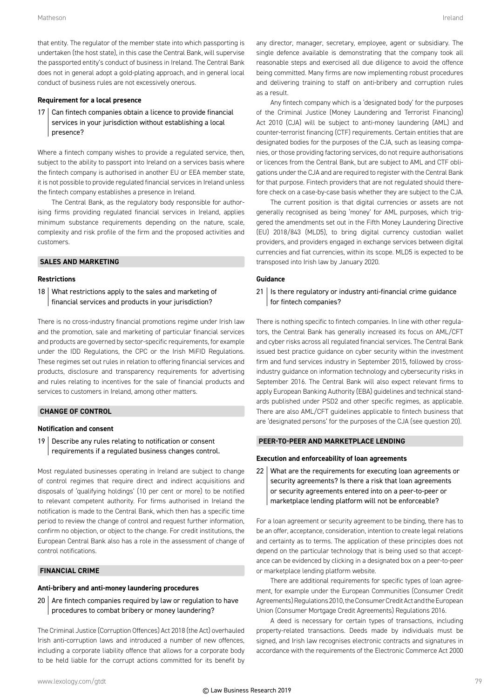that entity. The regulator of the member state into which passporting is undertaken (the host state), in this case the Central Bank, will supervise the passported entity's conduct of business in Ireland. The Central Bank does not in general adopt a gold-plating approach, and in general local conduct of business rules are not excessively onerous.

#### **Requirement for a local presence**

17 Can fintech companies obtain a licence to provide financial services in your jurisdiction without establishing a local presence?

Where a fintech company wishes to provide a regulated service, then, subject to the ability to passport into Ireland on a services basis where the fintech company is authorised in another EU or EEA member state, it is not possible to provide regulated financial services in Ireland unless the fintech company establishes a presence in Ireland.

The Central Bank, as the regulatory body responsible for authorising firms providing regulated financial services in Ireland, applies minimum substance requirements depending on the nature, scale, complexity and risk profile of the firm and the proposed activities and customers.

#### **SALES AND MARKETING**

#### **Restrictions**

 $18$  What restrictions apply to the sales and marketing of financial services and products in your jurisdiction?

There is no cross-industry financial promotions regime under Irish law and the promotion, sale and marketing of particular financial services and products are governed by sector-specific requirements, for example under the IDD Regulations, the CPC or the Irish MiFID Regulations. These regimes set out rules in relation to offering financial services and products, disclosure and transparency requirements for advertising and rules relating to incentives for the sale of financial products and services to customers in Ireland, among other matters.

#### **CHANGE OF CONTROL**

#### **Notification and consent**

19 Describe any rules relating to notification or consent requirements if a regulated business changes control.

Most regulated businesses operating in Ireland are subject to change of control regimes that require direct and indirect acquisitions and disposals of 'qualifying holdings' (10 per cent or more) to be notified to relevant competent authority. For firms authorised in Ireland the notification is made to the Central Bank, which then has a specific time period to review the change of control and request further information, confirm no objection, or object to the change. For credit institutions, the European Central Bank also has a role in the assessment of change of control notifications.

#### **FINANCIAL CRIME**

#### **Anti-bribery and anti-money laundering procedures**

 $20$  Are fintech companies required by law or regulation to have procedures to combat bribery or money laundering?

The Criminal Justice (Corruption Offences) Act 2018 (the Act) overhauled Irish anti-corruption laws and introduced a number of new offences, including a corporate liability offence that allows for a corporate body to be held liable for the corrupt actions committed for its benefit by any director, manager, secretary, employee, agent or subsidiary. The single defence available is demonstrating that the company took all reasonable steps and exercised all due diligence to avoid the offence being committed. Many firms are now implementing robust procedures and delivering training to staff on anti-bribery and corruption rules as a result.

Any fintech company which is a 'designated body' for the purposes of the Criminal Justice (Money Laundering and Terrorist Financing) Act 2010 (CJA) will be subject to anti-money laundering (AML) and counter-terrorist financing (CTF) requirements. Certain entities that are designated bodies for the purposes of the CJA, such as leasing companies, or those providing factoring services, do not require authorisations or licences from the Central Bank, but are subject to AML and CTF obligations under the CJA and are required to register with the Central Bank for that purpose. Fintech providers that are not regulated should therefore check on a case-by-case basis whether they are subject to the CJA.

The current position is that digital currencies or assets are not generally recognised as being 'money' for AML purposes, which triggered the amendments set out in the Fifth Money Laundering Directive (EU) 2018/843 (MLD5), to bring digital currency custodian wallet providers, and providers engaged in exchange services between digital currencies and fiat currencies, within its scope. MLD5 is expected to be transposed into Irish law by January 2020.

#### **Guidance**

21 | Is there regulatory or industry anti-financial crime guidance for fintech companies?

There is nothing specific to fintech companies. In line with other regulators, the Central Bank has generally increased its focus on AML/CFT and cyber risks across all regulated financial services. The Central Bank issued best practice guidance on cyber security within the investment firm and fund services industry in September 2015, followed by crossindustry guidance on information technology and cybersecurity risks in September 2016. The Central Bank will also expect relevant firms to apply European Banking Authority (EBA) guidelines and technical standards published under PSD2 and other specific regimes, as applicable. There are also AML/CFT guidelines applicable to fintech business that are 'designated persons' for the purposes of the CJA (see question 20).

#### **PEER-TO-PEER AND MARKETPLACE LENDING**

#### **Execution and enforceability of loan agreements**

22 What are the requirements for executing loan agreements or security agreements? Is there a risk that loan agreements or security agreements entered into on a peer-to-peer or marketplace lending platform will not be enforceable?

For a loan agreement or security agreement to be binding, there has to be an offer, acceptance, consideration, intention to create legal relations and certainty as to terms. The application of these principles does not depend on the particular technology that is being used so that acceptance can be evidenced by clicking in a designated box on a peer-to-peer or marketplace lending platform website.

There are additional requirements for specific types of loan agreement, for example under the European Communities (Consumer Credit Agreements) Regulations 2010, the Consumer Credit Act and the European Union (Consumer Mortgage Credit Agreements) Regulations 2016.

A deed is necessary for certain types of transactions, including property-related transactions. Deeds made by individuals must be signed, and Irish law recognises electronic contracts and signatures in accordance with the requirements of the Electronic Commerce Act 2000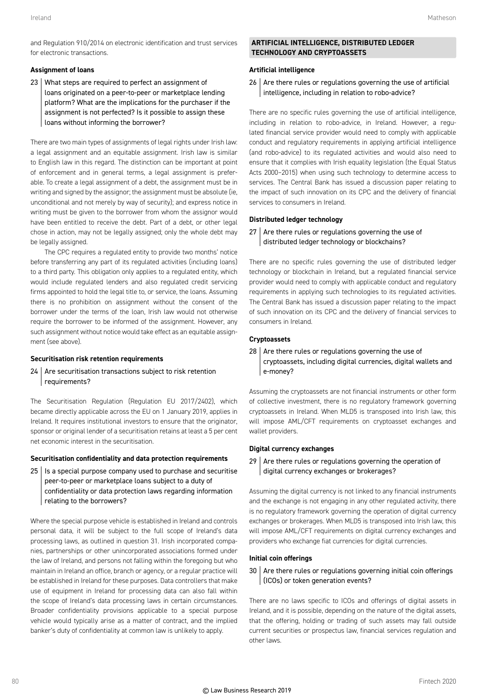and Regulation 910/2014 on electronic identification and trust services for electronic transactions.

#### **Assignment of loans**

23 What steps are required to perfect an assignment of loans originated on a peer-to-peer or marketplace lending platform? What are the implications for the purchaser if the assignment is not perfected? Is it possible to assign these loans without informing the borrower?

There are two main types of assignments of legal rights under Irish law: a legal assignment and an equitable assignment. Irish law is similar to English law in this regard. The distinction can be important at point of enforcement and in general terms, a legal assignment is preferable. To create a legal assignment of a debt, the assignment must be in writing and signed by the assignor; the assignment must be absolute (ie, unconditional and not merely by way of security); and express notice in writing must be given to the borrower from whom the assignor would have been entitled to receive the debt. Part of a debt, or other legal chose in action, may not be legally assigned; only the whole debt may be legally assigned.

The CPC requires a regulated entity to provide two months' notice before transferring any part of its regulated activities (including loans) to a third party. This obligation only applies to a regulated entity, which would include regulated lenders and also regulated credit servicing firms appointed to hold the legal title to, or service, the loans. Assuming there is no prohibition on assignment without the consent of the borrower under the terms of the loan, Irish law would not otherwise require the borrower to be informed of the assignment. However, any such assignment without notice would take effect as an equitable assignment (see above).

#### **Securitisation risk retention requirements**

 $24$  Are securitisation transactions subject to risk retention requirements?

The Securitisation Regulation (Regulation EU 2017/2402), which became directly applicable across the EU on 1 January 2019, applies in Ireland. It requires institutional investors to ensure that the originator, sponsor or original lender of a securitisation retains at least a 5 per cent net economic interest in the securitisation.

#### **Securitisation confidentiality and data protection requirements**

 $25$  | Is a special purpose company used to purchase and securitise peer-to-peer or marketplace loans subject to a duty of confidentiality or data protection laws regarding information relating to the borrowers?

Where the special purpose vehicle is established in Ireland and controls personal data, it will be subject to the full scope of Ireland's data processing laws, as outlined in question 31. Irish incorporated companies, partnerships or other unincorporated associations formed under the law of Ireland, and persons not falling within the foregoing but who maintain in Ireland an office, branch or agency, or a regular practice will be established in Ireland for these purposes. Data controllers that make use of equipment in Ireland for processing data can also fall within the scope of Ireland's data processing laws in certain circumstances. Broader confidentiality provisions applicable to a special purpose vehicle would typically arise as a matter of contract, and the implied banker's duty of confidentiality at common law is unlikely to apply.

#### **ARTIFICIAL INTELLIGENCE, DISTRIBUTED LEDGER TECHNOLOGY AND CRYPTOASSETS**

#### **Artificial intelligence**

 $26$  Are there rules or regulations governing the use of artificial intelligence, including in relation to robo-advice?

There are no specific rules governing the use of artificial intelligence, including in relation to robo-advice, in Ireland. However, a regulated financial service provider would need to comply with applicable conduct and regulatory requirements in applying artificial intelligence (and robo-advice) to its regulated activities and would also need to ensure that it complies with Irish equality legislation (the Equal Status Acts 2000–2015) when using such technology to determine access to services. The Central Bank has issued a discussion paper relating to the impact of such innovation on its CPC and the delivery of financial services to consumers in Ireland.

#### **Distributed ledger technology**

 $27$  Are there rules or regulations governing the use of distributed ledger technology or blockchains?

There are no specific rules governing the use of distributed ledger technology or blockchain in Ireland, but a regulated financial service provider would need to comply with applicable conduct and regulatory requirements in applying such technologies to its regulated activities. The Central Bank has issued a discussion paper relating to the impact of such innovation on its CPC and the delivery of financial services to consumers in Ireland.

#### **Cryptoassets**

 $28$  Are there rules or regulations governing the use of cryptoassets, including digital currencies, digital wallets and e-money?

Assuming the cryptoassets are not financial instruments or other form of collective investment, there is no regulatory framework governing cryptoassets in Ireland. When MLD5 is transposed into Irish law, this will impose AML/CFT requirements on cryptoasset exchanges and wallet providers.

#### **Digital currency exchanges**

 $29$  Are there rules or regulations governing the operation of digital currency exchanges or brokerages?

Assuming the digital currency is not linked to any financial instruments and the exchange is not engaging in any other regulated activity, there is no regulatory framework governing the operation of digital currency exchanges or brokerages. When MLD5 is transposed into Irish law, this will impose AML/CFT requirements on digital currency exchanges and providers who exchange fiat currencies for digital currencies.

#### **Initial coin offerings**

 $30$  Are there rules or regulations governing initial coin offerings (ICOs) or token generation events?

There are no laws specific to ICOs and offerings of digital assets in Ireland, and it is possible, depending on the nature of the digital assets, that the offering, holding or trading of such assets may fall outside current securities or prospectus law, financial services regulation and other laws.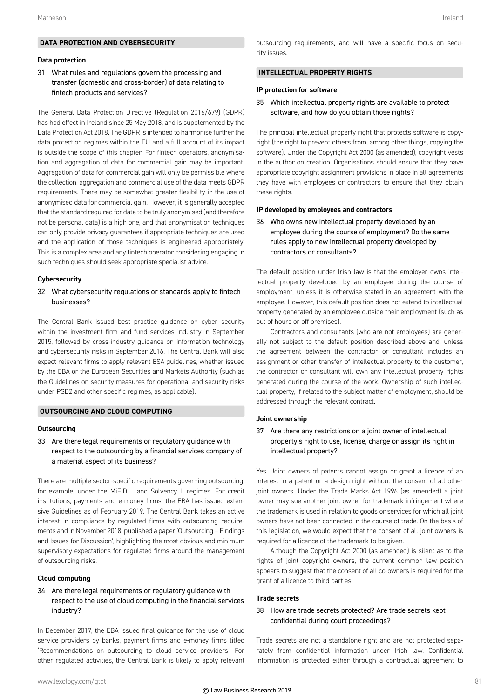#### **DATA PROTECTION AND CYBERSECURITY**

#### **Data protection**

#### 31 What rules and regulations govern the processing and transfer (domestic and cross-border) of data relating to fintech products and services?

The General Data Protection Directive (Regulation 2016/679) (GDPR) has had effect in Ireland since 25 May 2018, and is supplemented by the Data Protection Act 2018. The GDPR is intended to harmonise further the data protection regimes within the EU and a full account of its impact is outside the scope of this chapter. For fintech operators, anonymisation and aggregation of data for commercial gain may be important. Aggregation of data for commercial gain will only be permissible where the collection, aggregation and commercial use of the data meets GDPR requirements. There may be somewhat greater flexibility in the use of anonymised data for commercial gain. However, it is generally accepted that the standard required for data to be truly anonymised (and therefore not be personal data) is a high one, and that anonymisation techniques can only provide privacy guarantees if appropriate techniques are used and the application of those techniques is engineered appropriately. This is a complex area and any fintech operator considering engaging in such techniques should seek appropriate specialist advice.

#### **Cybersecurity**

#### 32 What cybersecurity regulations or standards apply to fintech businesses?

The Central Bank issued best practice guidance on cyber security within the investment firm and fund services industry in September 2015, followed by cross-industry guidance on information technology and cybersecurity risks in September 2016. The Central Bank will also expect relevant firms to apply relevant ESA guidelines, whether issued by the EBA or the European Securities and Markets Authority (such as the Guidelines on security measures for operational and security risks under PSD2 and other specific regimes, as applicable).

#### **OUTSOURCING AND CLOUD COMPUTING**

#### **Outsourcing**

 $33$  Are there legal requirements or regulatory guidance with respect to the outsourcing by a financial services company of a material aspect of its business?

There are multiple sector-specific requirements governing outsourcing, for example, under the MiFID II and Solvency II regimes. For credit institutions, payments and e-money firms, the EBA has issued extensive Guidelines as of February 2019. The Central Bank takes an active interest in compliance by regulated firms with outsourcing requirements and in November 2018, published a paper 'Outsourcing – Findings and Issues for Discussion', highlighting the most obvious and minimum supervisory expectations for regulated firms around the management of outsourcing risks.

#### **Cloud computing**

#### $34$  Are there legal requirements or regulatory guidance with respect to the use of cloud computing in the financial services industry?

In December 2017, the EBA issued final guidance for the use of cloud service providers by banks, payment firms and e-money firms titled 'Recommendations on outsourcing to cloud service providers'. For other regulated activities, the Central Bank is likely to apply relevant outsourcing requirements, and will have a specific focus on security issues.

#### **INTELLECTUAL PROPERTY RIGHTS**

#### **IP protection for software**

35 Which intellectual property rights are available to protect software, and how do you obtain those rights?

The principal intellectual property right that protects software is copyright (the right to prevent others from, among other things, copying the software). Under the Copyright Act 2000 (as amended), copyright vests in the author on creation. Organisations should ensure that they have appropriate copyright assignment provisions in place in all agreements they have with employees or contractors to ensure that they obtain these rights.

#### **IP developed by employees and contractors**

36 Who owns new intellectual property developed by an employee during the course of employment? Do the same rules apply to new intellectual property developed by contractors or consultants?

The default position under Irish law is that the employer owns intellectual property developed by an employee during the course of employment, unless it is otherwise stated in an agreement with the employee. However, this default position does not extend to intellectual property generated by an employee outside their employment (such as out of hours or off premises).

Contractors and consultants (who are not employees) are generally not subject to the default position described above and, unless the agreement between the contractor or consultant includes an assignment or other transfer of intellectual property to the customer, the contractor or consultant will own any intellectual property rights generated during the course of the work. Ownership of such intellectual property, if related to the subject matter of employment, should be addressed through the relevant contract.

#### **Joint ownership**

 $37$  Are there any restrictions on a joint owner of intellectual property's right to use, license, charge or assign its right in intellectual property?

Yes. Joint owners of patents cannot assign or grant a licence of an interest in a patent or a design right without the consent of all other joint owners. Under the Trade Marks Act 1996 (as amended) a joint owner may sue another joint owner for trademark infringement where the trademark is used in relation to goods or services for which all joint owners have not been connected in the course of trade. On the basis of this legislation, we would expect that the consent of all joint owners is required for a licence of the trademark to be given.

Although the Copyright Act 2000 (as amended) is silent as to the rights of joint copyright owners, the current common law position appears to suggest that the consent of all co-owners is required for the grant of a licence to third parties.

#### **Trade secrets**

#### 38 How are trade secrets protected? Are trade secrets kept confidential during court proceedings?

Trade secrets are not a standalone right and are not protected separately from confidential information under Irish law. Confidential information is protected either through a contractual agreement to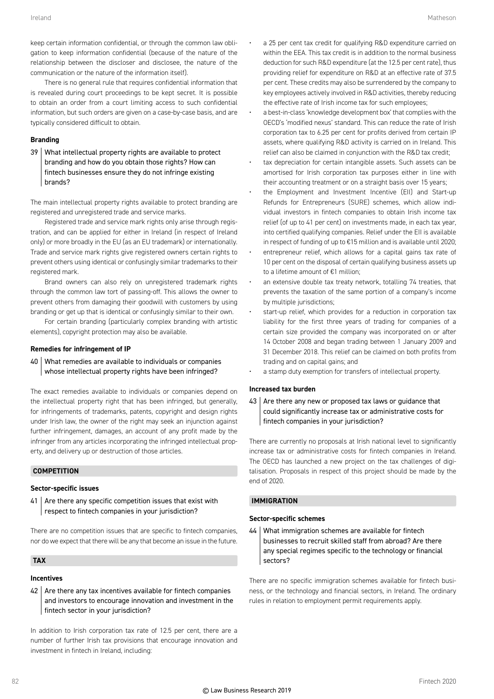keep certain information confidential, or through the common law obligation to keep information confidential (because of the nature of the relationship between the discloser and disclosee, the nature of the communication or the nature of the information itself).

There is no general rule that requires confidential information that is revealed during court proceedings to be kept secret. It is possible to obtain an order from a court limiting access to such confidential information, but such orders are given on a case-by-case basis, and are typically considered difficult to obtain.

#### **Branding**

39 What intellectual property rights are available to protect branding and how do you obtain those rights? How can fintech businesses ensure they do not infringe existing brands?

The main intellectual property rights available to protect branding are registered and unregistered trade and service marks.

Registered trade and service mark rights only arise through registration, and can be applied for either in Ireland (in respect of Ireland only) or more broadly in the EU (as an EU trademark) or internationally. Trade and service mark rights give registered owners certain rights to prevent others using identical or confusingly similar trademarks to their registered mark.

Brand owners can also rely on unregistered trademark rights through the common law tort of passing-off. This allows the owner to prevent others from damaging their goodwill with customers by using branding or get up that is identical or confusingly similar to their own.

For certain branding (particularly complex branding with artistic elements), copyright protection may also be available.

#### **Remedies for infringement of IP**

40 What remedies are available to individuals or companies whose intellectual property rights have been infringed?

The exact remedies available to individuals or companies depend on the intellectual property right that has been infringed, but generally, for infringements of trademarks, patents, copyright and design rights under Irish law, the owner of the right may seek an injunction against further infringement, damages, an account of any profit made by the infringer from any articles incorporating the infringed intellectual property, and delivery up or destruction of those articles.

#### **COMPETITION**

#### **Sector-specific issues**

 $41$  Are there any specific competition issues that exist with respect to fintech companies in your jurisdiction?

There are no competition issues that are specific to fintech companies, nor do we expect that there will be any that become an issue in the future.

#### **TAX**

#### **Incentives**

 $42$  Are there any tax incentives available for fintech companies and investors to encourage innovation and investment in the fintech sector in your jurisdiction?

In addition to Irish corporation tax rate of 12.5 per cent, there are a number of further Irish tax provisions that encourage innovation and investment in fintech in Ireland, including:

a 25 per cent tax credit for qualifying R&D expenditure carried on within the EEA. This tax credit is in addition to the normal business deduction for such R&D expenditure (at the 12.5 per cent rate), thus providing relief for expenditure on R&D at an effective rate of 37.5 per cent. These credits may also be surrendered by the company to key employees actively involved in R&D activities, thereby reducing the effective rate of Irish income tax for such employees;

• a best-in-class 'knowledge development box' that complies with the OECD's 'modified nexus' standard. This can reduce the rate of Irish corporation tax to 6.25 per cent for profits derived from certain IP assets, where qualifying R&D activity is carried on in Ireland. This relief can also be claimed in conjunction with the R&D tax credit;

- tax depreciation for certain intangible assets. Such assets can be amortised for Irish corporation tax purposes either in line with their accounting treatment or on a straight basis over 15 years;
- the Employment and Investment Incentive (EII) and Start-up Refunds for Entrepreneurs (SURE) schemes, which allow individual investors in fintech companies to obtain Irish income tax relief (of up to 41 per cent) on investments made, in each tax year, into certified qualifying companies. Relief under the EII is available in respect of funding of up to €15 million and is available until 2020;
- entrepreneur relief, which allows for a capital gains tax rate of 10 per cent on the disposal of certain qualifying business assets up to a lifetime amount of €1 million;
- an extensive double tax treaty network, totalling 74 treaties, that prevents the taxation of the same portion of a company's income by multiple jurisdictions;
- start-up relief, which provides for a reduction in corporation tax liability for the first three years of trading for companies of a certain size provided the company was incorporated on or after 14 October 2008 and began trading between 1 January 2009 and 31 December 2018. This relief can be claimed on both profits from trading and on capital gains; and
- a stamp duty exemption for transfers of intellectual property.

#### **Increased tax burden**

 $43$  Are there any new or proposed tax laws or guidance that could significantly increase tax or administrative costs for fintech companies in your jurisdiction?

There are currently no proposals at Irish national level to significantly increase tax or administrative costs for fintech companies in Ireland. The OECD has launched a new project on the tax challenges of digitalisation. Proposals in respect of this project should be made by the end of 2020.

#### **IMMIGRATION**

#### **Sector-specific schemes**

44 What immigration schemes are available for fintech businesses to recruit skilled staff from abroad? Are there any special regimes specific to the technology or financial sectors?

There are no specific immigration schemes available for fintech business, or the technology and financial sectors, in Ireland. The ordinary rules in relation to employment permit requirements apply.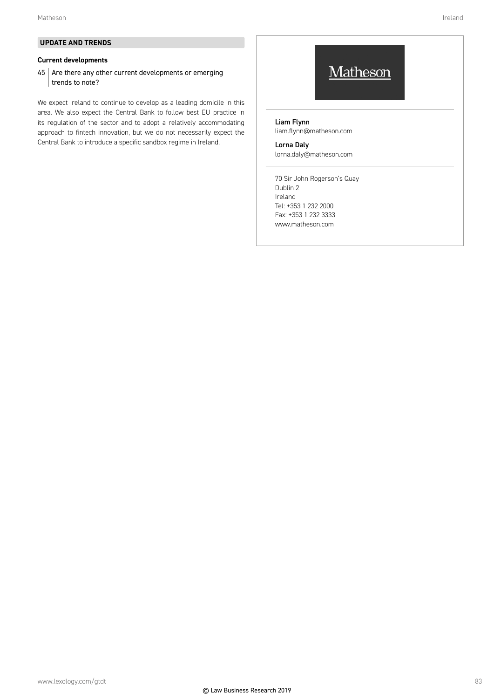#### **Current developments**

 $45$  Are there any other current developments or emerging trends to note?

We expect Ireland to continue to develop as a leading domicile in this area. We also expect the Central Bank to follow best EU practice in its regulation of the sector and to adopt a relatively accommodating approach to fintech innovation, but we do not necessarily expect the Central Bank to introduce a specific sandbox regime in Ireland.

# Matheson

Liam Flynn liam.flynn@matheson.com

# Lorna Daly

lorna.daly@matheson.com

70 Sir John Rogerson's Quay Dublin 2 Ireland Tel: +353 1 232 2000 Fax: +353 1 232 3333 www.matheson.com